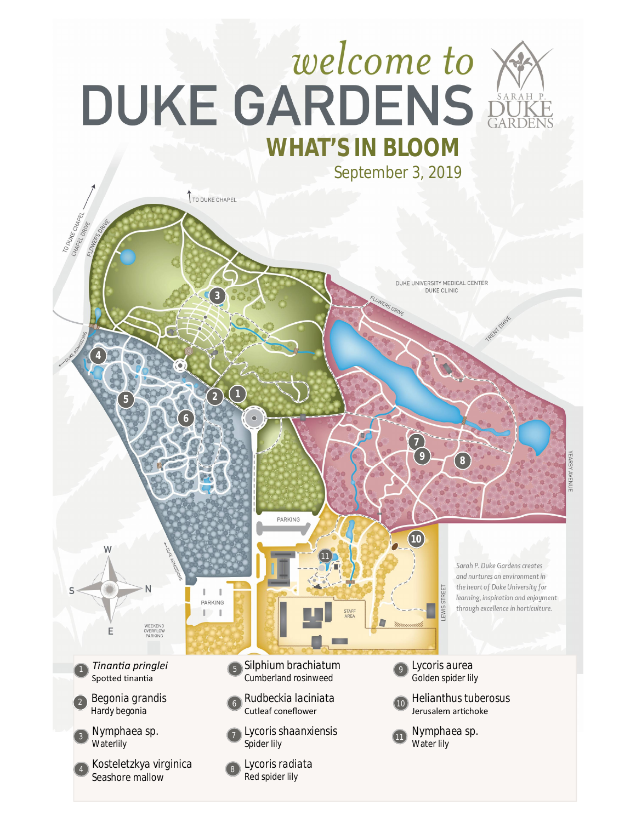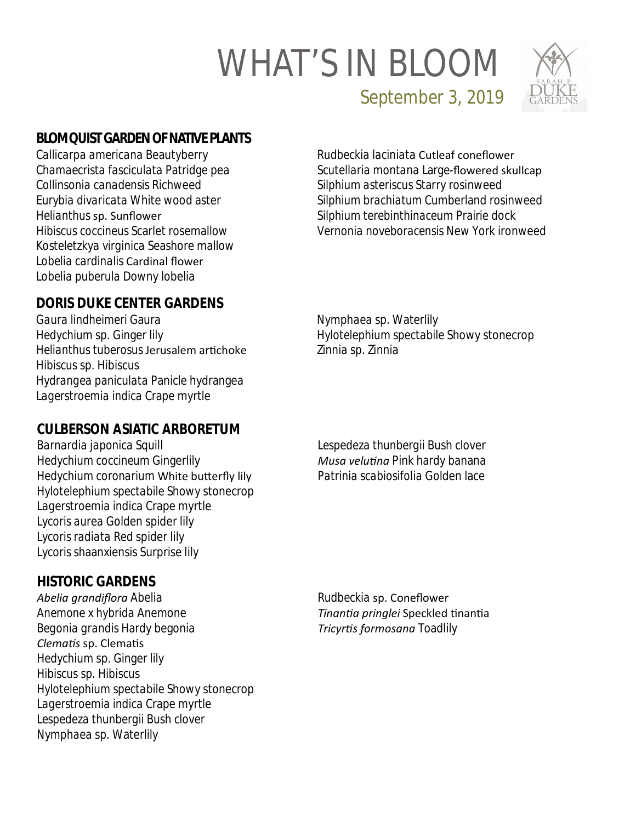# WHAT'S IN BLOOM



September 3, 2019

### **BLOMQUIST GARDEN OF NATIVE PLANTS**

*Callicarpa americana* Beautyberry *Chamaecrista fasciculata* Patridge pea *Collinsonia canadensis* Richweed *Eurybia divaricata* White wood aster *Helianthus* sp. Sunflower *Hibiscus coccineus* Scarlet rosemallow *Kosteletzkya virginica* Seashore mallow *Lobelia cardinalis* Cardinal flower *Lobelia puberula* Downy lobelia

*Rudbeckia laciniata* Cutleaf coneflower *Scutellaria montana* Large-flowered skullcap *Silphium asteriscus* Starry rosinweed *Silphium brachiatum* Cumberland rosinweed *Silphium terebinthinaceum* Prairie dock *Vernonia noveboracensis* New York ironweed

#### **DORIS DUKE CENTER GARDENS**

*Gaura lindheimeri* Gaura *Hedychium* sp. Ginger lily *Helianthus tuberosus* Jerusalem arƟchoke *Hibiscus* sp. Hibiscus *Hydrangea paniculata* Panicle hydrangea *Lagerstroemia indica* Crape myrtle

*Nymphaea* sp. Waterlily *Hylotelephium spectabile* Showy stonecrop *Zinnia* sp. Zinnia

#### **CULBERSON ASIATIC ARBORETUM**

*Barnardia japonica* Squill *Hedychium coccineum* Gingerlily *Hedychium coronarium* White butterfly lily *Hylotelephium spectabile* Showy stonecrop *Lagerstroemia indica* Crape myrtle *Lycoris aurea* Golden spider lily *Lycoris radiata* Red spider lily *Lycoris* shaanxiensis Surprise lily

*Lespedeza thunbergii* Bush clover *Musa veluƟna* Pink hardy banana *Patrinia scabiosifolia* Golden lace

#### **HISTORIC GARDENS**

*Abelia grandiflora* Abelia *Anemone x hybrida* Anemone *Begonia grandis* Hardy begonia *ClemaƟs* sp. ClemaƟs *Hedychium* sp. Ginger lily *Hibiscus* sp. Hibiscus *Hylotelephium spectabile* Showy stonecrop *Lagerstroemia indica* Crape myrtle *Lespedeza thunbergii* Bush clover *Nymphaea* sp. Waterlily

*Rudbeckia* sp. Coneflower *TinanƟa pringlei* Speckled ƟnanƟa *TricyrƟs formosana* Toadlily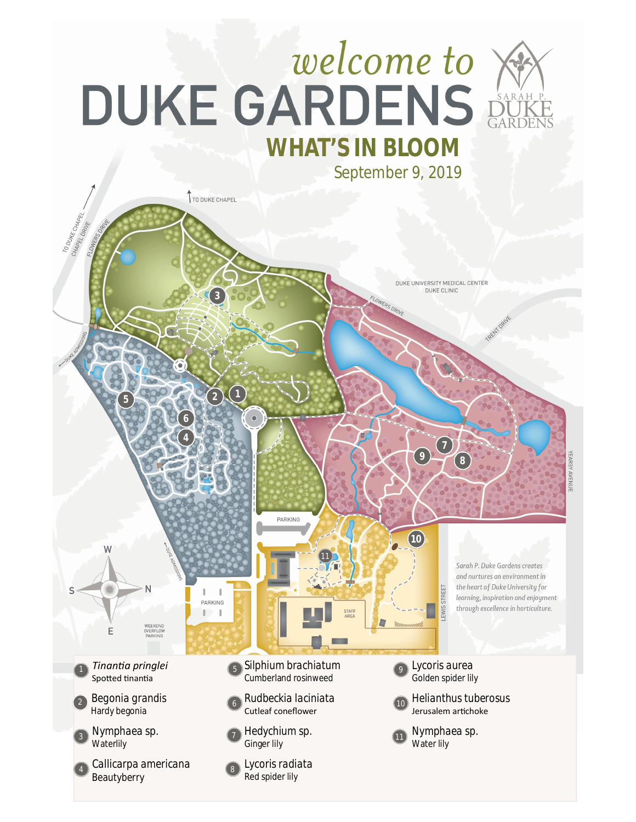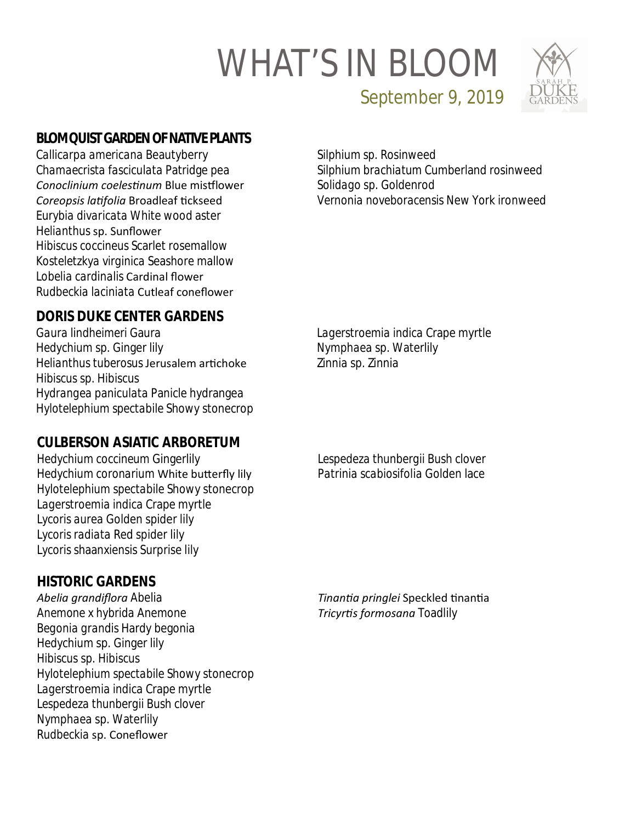# WHAT'S IN BLOOM



September 9, 2019

#### **BLOMQUIST GARDEN OF NATIVE PLANTS**

*Callicarpa americana* Beautyberry *Chamaecrista fasciculata* Patridge pea *Conoclinium coelesƟnum* Blue misƞlower *Coreopsis laƟfolia* Broadleaf Ɵckseed *Eurybia divaricata* White wood aster *Helianthus* sp. Sunflower *Hibiscus coccineus* Scarlet rosemallow *Kosteletzkya virginica* Seashore mallow *Lobelia cardinalis* Cardinal flower *Rudbeckia laciniata* Cutleaf coneflower

*Silphium sp.* Rosinweed *Silphium brachiatum* Cumberland rosinweed *Solidago* sp. Goldenrod *Vernonia noveboracensis* New York ironweed

#### **DORIS DUKE CENTER GARDENS**

*Gaura lindheimeri* Gaura *Hedychium* sp. Ginger lily *Helianthus tuberosus* Jerusalem arƟchoke *Hibiscus* sp. Hibiscus *Hydrangea paniculata* Panicle hydrangea *Hylotelephium spectabile* Showy stonecrop

#### **CULBERSON ASIATIC ARBORETUM**

*Hedychium coccineum* Gingerlily Hedychium coronarium White butterfly lily *Hylotelephium spectabile* Showy stonecrop *Lagerstroemia indica* Crape myrtle *Lycoris aurea* Golden spider lily *Lycoris radiata* Red spider lily *Lycoris* shaanxiensis Surprise lily

**HISTORIC GARDENS**

*Abelia grandiflora* Abelia *Anemone x hybrida* Anemone *Begonia grandis* Hardy begonia *Hedychium* sp. Ginger lily *Hibiscus* sp. Hibiscus *Hylotelephium spectabile* Showy stonecrop *Lagerstroemia indica* Crape myrtle *Lespedeza thunbergii* Bush clover *Nymphaea* sp. Waterlily *Rudbeckia* sp. Coneflower

*Lagerstroemia indica* Crape myrtle *Nymphaea* sp. Waterlily *Zinnia* sp. Zinnia

*Lespedeza thunbergii* Bush clover *Patrinia scabiosifolia* Golden lace

*TinanƟa pringlei* Speckled ƟnanƟa *TricyrƟs formosana* Toadlily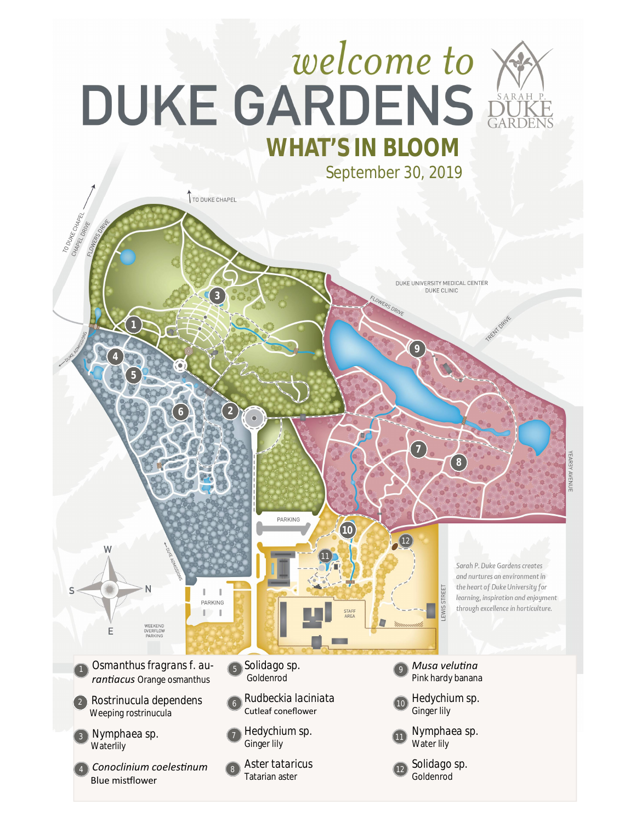